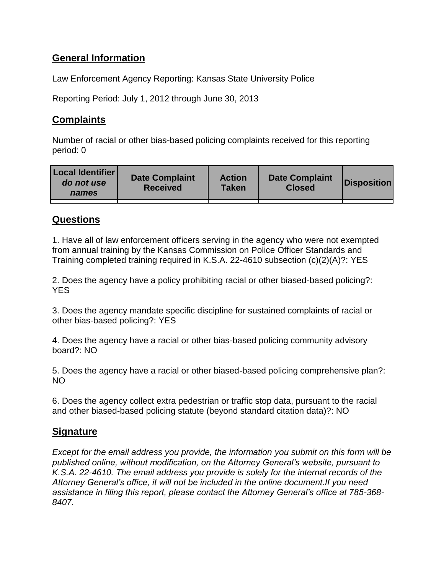# **General Information**

Law Enforcement Agency Reporting: Kansas State University Police

Reporting Period: July 1, 2012 through June 30, 2013

## **Complaints**

Number of racial or other bias-based policing complaints received for this reporting period: 0

| <b>Local Identifier</b><br>do not use<br>names | <b>Date Complaint</b><br><b>Received</b> | <b>Action</b><br>Taken | <b>Date Complaint</b><br><b>Closed</b> | Disposition |
|------------------------------------------------|------------------------------------------|------------------------|----------------------------------------|-------------|
|                                                |                                          |                        |                                        |             |

## **Questions**

1. Have all of law enforcement officers serving in the agency who were not exempted from annual training by the Kansas Commission on Police Officer Standards and Training completed training required in K.S.A. 22-4610 subsection (c)(2)(A)?: YES

2. Does the agency have a policy prohibiting racial or other biased-based policing?: **YES** 

3. Does the agency mandate specific discipline for sustained complaints of racial or other bias-based policing?: YES

4. Does the agency have a racial or other bias-based policing community advisory board?: NO

5. Does the agency have a racial or other biased-based policing comprehensive plan?: NO

6. Does the agency collect extra pedestrian or traffic stop data, pursuant to the racial and other biased-based policing statute (beyond standard citation data)?: NO

## **Signature**

*Except for the email address you provide, the information you submit on this form will be published online, without modification, on the Attorney General's website, pursuant to K.S.A. 22-4610. The email address you provide is solely for the internal records of the Attorney General's office, it will not be included in the online document.If you need assistance in filing this report, please contact the Attorney General's office at 785-368- 8407.*